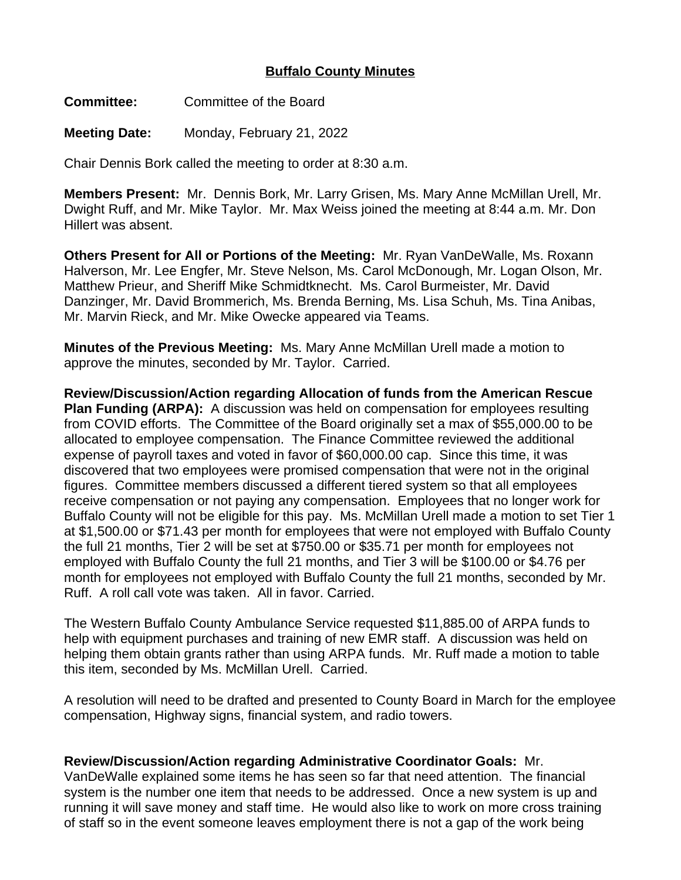## **Buffalo County Minutes**

**Committee:** Committee of the Board

**Meeting Date:** Monday, February 21, 2022

Chair Dennis Bork called the meeting to order at 8:30 a.m.

**Members Present:** Mr. Dennis Bork, Mr. Larry Grisen, Ms. Mary Anne McMillan Urell, Mr. Dwight Ruff, and Mr. Mike Taylor. Mr. Max Weiss joined the meeting at 8:44 a.m. Mr. Don Hillert was absent.

**Others Present for All or Portions of the Meeting:** Mr. Ryan VanDeWalle, Ms. Roxann Halverson, Mr. Lee Engfer, Mr. Steve Nelson, Ms. Carol McDonough, Mr. Logan Olson, Mr. Matthew Prieur, and Sheriff Mike Schmidtknecht. Ms. Carol Burmeister, Mr. David Danzinger, Mr. David Brommerich, Ms. Brenda Berning, Ms. Lisa Schuh, Ms. Tina Anibas, Mr. Marvin Rieck, and Mr. Mike Owecke appeared via Teams.

**Minutes of the Previous Meeting:** Ms. Mary Anne McMillan Urell made a motion to approve the minutes, seconded by Mr. Taylor. Carried.

**Review/Discussion/Action regarding Allocation of funds from the American Rescue Plan Funding (ARPA):** A discussion was held on compensation for employees resulting from COVID efforts. The Committee of the Board originally set a max of \$55,000.00 to be allocated to employee compensation. The Finance Committee reviewed the additional expense of payroll taxes and voted in favor of \$60,000.00 cap. Since this time, it was discovered that two employees were promised compensation that were not in the original figures. Committee members discussed a different tiered system so that all employees receive compensation or not paying any compensation. Employees that no longer work for Buffalo County will not be eligible for this pay. Ms. McMillan Urell made a motion to set Tier 1 at \$1,500.00 or \$71.43 per month for employees that were not employed with Buffalo County the full 21 months, Tier 2 will be set at \$750.00 or \$35.71 per month for employees not employed with Buffalo County the full 21 months, and Tier 3 will be \$100.00 or \$4.76 per month for employees not employed with Buffalo County the full 21 months, seconded by Mr. Ruff. A roll call vote was taken. All in favor. Carried.

The Western Buffalo County Ambulance Service requested \$11,885.00 of ARPA funds to help with equipment purchases and training of new EMR staff. A discussion was held on helping them obtain grants rather than using ARPA funds. Mr. Ruff made a motion to table this item, seconded by Ms. McMillan Urell. Carried.

A resolution will need to be drafted and presented to County Board in March for the employee compensation, Highway signs, financial system, and radio towers.

## **Review/Discussion/Action regarding Administrative Coordinator Goals:** Mr.

VanDeWalle explained some items he has seen so far that need attention. The financial system is the number one item that needs to be addressed. Once a new system is up and running it will save money and staff time. He would also like to work on more cross training of staff so in the event someone leaves employment there is not a gap of the work being